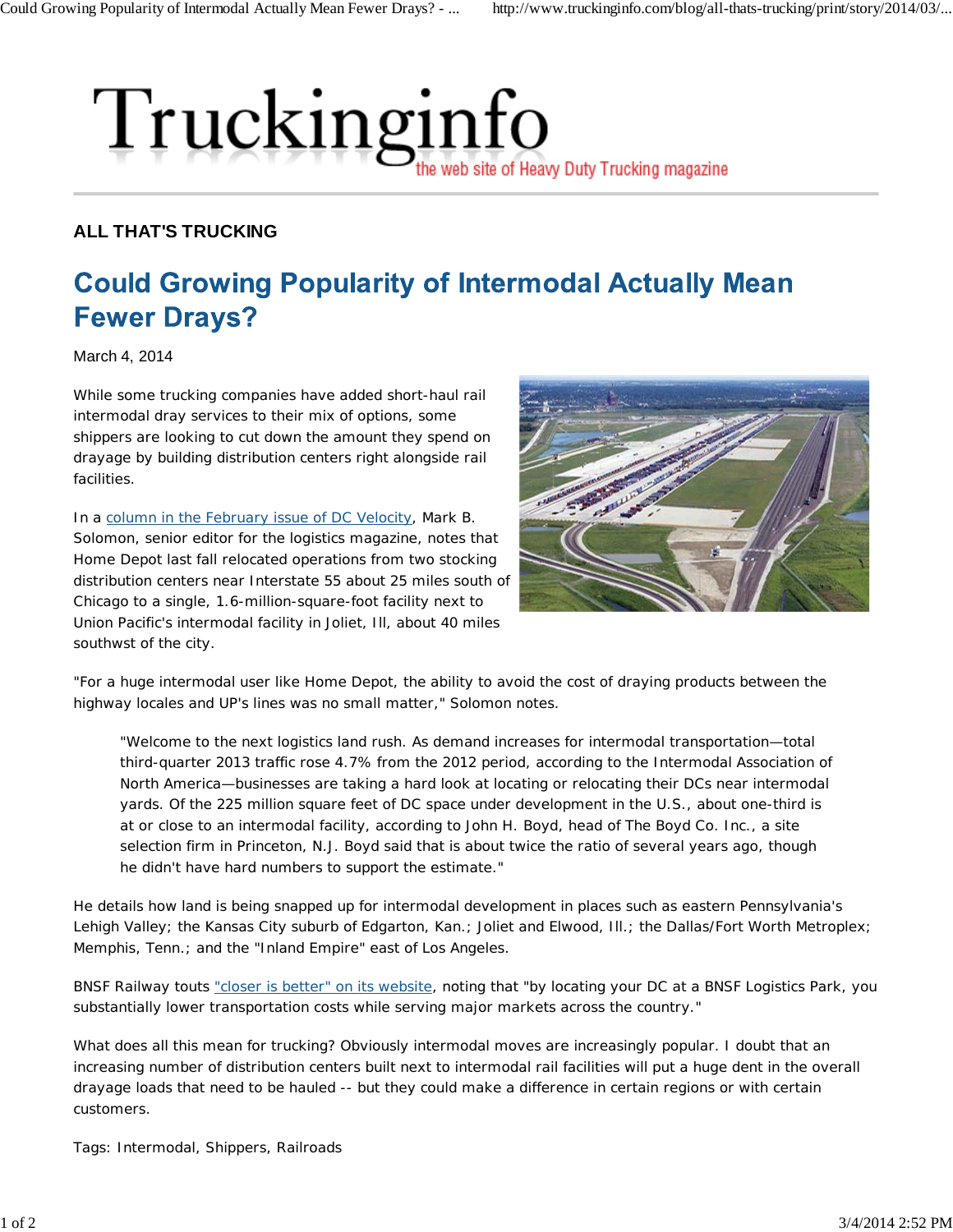## Truckinginfo the web site of Heavy Duty Trucking magazine

## **ALL THAT'S TRUCKING**

## **Could Growing Popularity of Intermodal Actually Mean Fewer Drays?**

March 4, 2014

While some trucking companies have added short-haul rail intermodal dray services to their mix of options, some shippers are looking to cut down the amount they spend on drayage by building distribution centers right alongside rail facilities.

In a column in the February issue of DC Velocity, Mark B. Solomon, senior editor for the logistics magazine, notes that Home Depot last fall relocated operations from two stocking distribution centers near Interstate 55 about 25 miles south of Chicago to a single, 1.6-million-square-foot facility next to Union Pacific's intermodal facility in Joliet, Ill, about 40 miles southwst of the city.



"For a huge intermodal user like Home Depot, the ability to avoid the cost of draying products between the highway locales and UP's lines was no small matter," Solomon notes.

"Welcome to the next logistics land rush. As demand increases for intermodal transportation—total third-quarter 2013 traffic rose 4.7% from the 2012 period, according to the Intermodal Association of North America—businesses are taking a hard look at locating or relocating their DCs near intermodal yards. Of the 225 million square feet of DC space under development in the U.S., about one-third is at or close to an intermodal facility, according to John H. Boyd, head of The Boyd Co. Inc., a site selection firm in Princeton, N.J. Boyd said that is about twice the ratio of several years ago, though he didn't have hard numbers to support the estimate."

He details how land is being snapped up for intermodal development in places such as eastern Pennsylvania's Lehigh Valley; the Kansas City suburb of Edgarton, Kan.; Joliet and Elwood, Ill.; the Dallas/Fort Worth Metroplex; Memphis, Tenn.; and the "Inland Empire" east of Los Angeles.

BNSF Railway touts "closer is better" on its website, noting that "by locating your DC at a BNSF Logistics Park, you substantially lower transportation costs while serving major markets across the country."

What does all this mean for trucking? Obviously intermodal moves are increasingly popular. I doubt that an increasing number of distribution centers built next to intermodal rail facilities will put a huge dent in the overall drayage loads that need to be hauled -- but they could make a difference in certain regions or with certain customers.

Tags: Intermodal, Shippers, Railroads